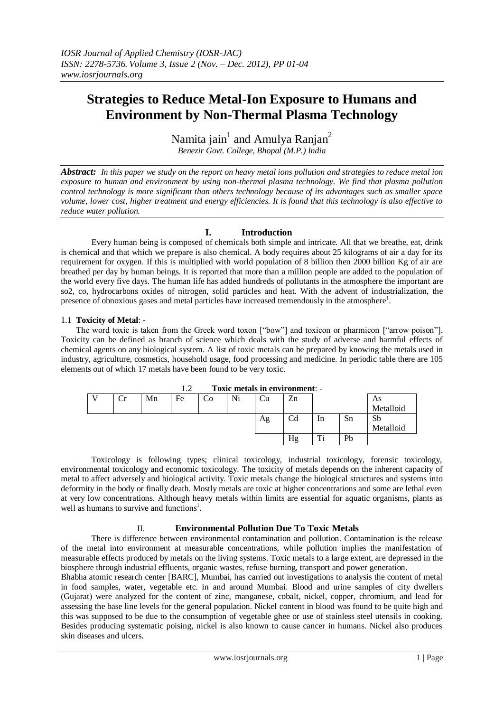# **Strategies to Reduce Metal-Ion Exposure to Humans and Environment by Non-Thermal Plasma Technology**

Namita jain<sup>1</sup> and Amulya Ranjan<sup>2</sup> *Benezir Govt. College, Bhopal (M.P.) India*

*Abstract: In this paper we study on the report on heavy metal ions pollution and strategies to reduce metal ion exposure to human and environment by using non-thermal plasma technology. We find that plasma pollution control technology is more significant than others technology because of its advantages such as smaller space volume, lower cost, higher treatment and energy efficiencies. It is found that this technology is also effective to reduce water pollution.*

# **I. Introduction**

Every human being is composed of chemicals both simple and intricate. All that we breathe, eat, drink is chemical and that which we prepare is also chemical. A body requires about 25 kilograms of air a day for its requirement for oxygen. If this is multiplied with world population of 8 billion then 2000 billion Kg of air are breathed per day by human beings. It is reported that more than a million people are added to the population of the world every five days. The human life has added hundreds of pollutants in the atmosphere the important are so2, co, hydrocarbons oxides of nitrogen, solid particles and heat. With the advent of industrialization, the presence of obnoxious gases and metal particles have increased tremendously in the atmosphere<sup>1</sup>.

### 1.1 **Toxicity of Metal**: -

The word toxic is taken from the Greek word toxon ["bow"] and toxicon or pharmicon ["arrow poison"]. Toxicity can be defined as branch of science which deals with the study of adverse and harmful effects of chemical agents on any biological system. A list of toxic metals can be prepared by knowing the metals used in industry, agriculture, cosmetics, household usage, food processing and medicine. In periodic table there are 105 elements out of which 17 metals have been found to be very toxic.

| .<br>Toxic metals in chyllomicht. |    |    |    |    |    |                  |    |    |           |  |  |
|-----------------------------------|----|----|----|----|----|------------------|----|----|-----------|--|--|
| Сr                                | Mn | Fe | Co | Ni | Ċu | Zn               |    |    | As        |  |  |
|                                   |    |    |    |    |    |                  |    |    | Metalloid |  |  |
|                                   |    |    |    |    | Ag | $_{\mathrm{Cd}}$ | 1n | Sn | Sb        |  |  |
|                                   |    |    |    |    |    |                  |    |    | Metalloid |  |  |
|                                   |    |    |    |    |    | Hg               | m: | Pb |           |  |  |
|                                   |    |    |    |    |    |                  |    |    |           |  |  |

1.2 **Toxic metals in environment**: -

Toxicology is following types; clinical toxicology, industrial toxicology, forensic toxicology, environmental toxicology and economic toxicology. The toxicity of metals depends on the inherent capacity of metal to affect adversely and biological activity. Toxic metals change the biological structures and systems into deformity in the body or finally death. Mostly metals are toxic at higher concentrations and some are lethal even at very low concentrations. Although heavy metals within limits are essential for aquatic organisms, plants as well as humans to survive and functions<sup>1</sup>.

## II. **Environmental Pollution Due To Toxic Metals**

There is difference between environmental contamination and pollution. Contamination is the release of the metal into environment at measurable concentrations, while pollution implies the manifestation of measurable effects produced by metals on the living systems. Toxic metals to a large extent, are depressed in the biosphere through industrial effluents, organic wastes, refuse burning, transport and power generation.

Bhabha atomic research center [BARC], Mumbai, has carried out investigations to analysis the content of metal in food samples, water, vegetable etc. in and around Mumbai. Blood and urine samples of city dwellers (Gujarat) were analyzed for the content of zinc, manganese, cobalt, nickel, copper, chromium, and lead for assessing the base line levels for the general population. Nickel content in blood was found to be quite high and this was supposed to be due to the consumption of vegetable ghee or use of stainless steel utensils in cooking. Besides producing systematic poising, nickel is also known to cause cancer in humans. Nickel also produces skin diseases and ulcers.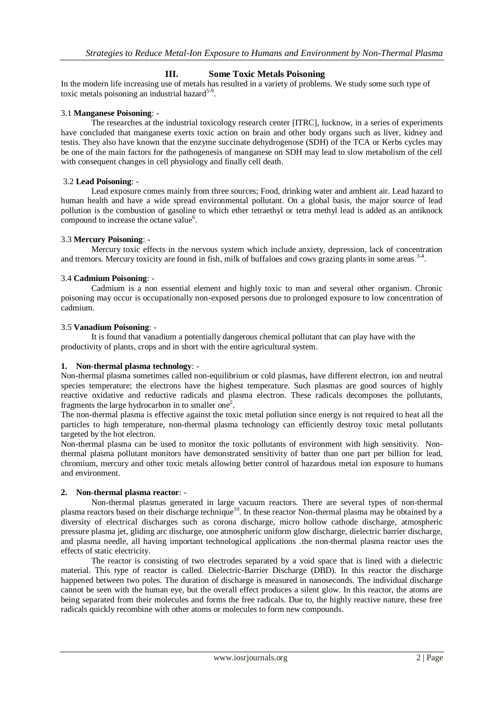## **III. Some Toxic Metals Poisoning**

In the modern life increasing use of metals has resulted in a variety of problems. We study some such type of toxic metals poisoning an industrial hazard $5-9$ .

#### 3.1 **Manganese Poisoning**: -

The researches at the industrial toxicology research center [ITRC], lucknow, in a series of experiments have concluded that manganese exerts toxic action on brain and other body organs such as liver, kidney and testis. They also have known that the enzyme succinate dehydrogenose (SDH) of the TCA or Kerbs cycles may be one of the main factors for the pathogenesis of manganese on SDH may lead to slow metabolism of the cell with consequent changes in cell physiology and finally cell death.

#### 3.2 **Lead Poisoning**: -

Lead exposure comes mainly from three sources; Food, drinking water and ambient air. Lead hazard to human health and have a wide spread environmental pollutant. On a global basis, the major source of lead pollution is the combustion of gasoline to which ether tetraethyl or tetra methyl lead is added as an antiknock compound to increase the octane value<sup>6</sup>.

### 3.3 **Mercury Poisoning**: -

Mercury toxic effects in the nervous system which include anxiety, depression, lack of concentration and tremors. Mercury toxicity are found in fish, milk of buffaloes and cows grazing plants in some areas <sup>34</sup>.

### 3.4 **Cadmium Poisoning**: -

Cadmium is a non essential element and highly toxic to man and several other organism. Chronic poisoning may occur is occupationally non-exposed persons due to prolonged exposure to low concentration of cadmium.

### 3.5 **Vanadium Poisoning**: -

It is found that vanadium a potentially dangerous chemical pollutant that can play have with the productivity of plants, crops and in short with the entire agricultural system.

#### **1. Non-thermal plasma technology**: -

Non-thermal plasma sometimes called non[-equilibrium](http://en.wikipedia.org/wiki/Thermodynamic_equilibrium) or cold plasmas, have different electron, ion and neutral species temperature; the electrons have the highest temperature. Such plasmas are good sources of highly reactive oxidative and reductive radicals and plasma electron. These radicals decomposes the pollutants, fragments the large hydrocarbon in to smaller one<sup>2</sup>.

The non-thermal plasma is effective against the toxic metal pollution since energy is not required to heat all the particles to high temperature, non-thermal plasma technology can efficiently destroy toxic metal pollutants targeted by the hot electron.

Non-thermal plasma can be used to monitor the toxic pollutants of environment with high sensitivity. Nonthermal plasma pollutant monitors have demonstrated sensitivity of batter than one part per billion for lead, chromium, mercury and other toxic metals allowing better control of hazardous metal ion exposure to humans and environment.

#### **2. Non-thermal plasma reactor**: -

Non-thermal plasmas generated in large vacuum reactors. There are several types of non-thermal plasma reactors based on their discharge technique<sup>10</sup>. In these reactor Non-thermal plasma may be obtained by a diversity of electrical discharges such as corona discharge, micro hollow cathode discharge, atmospheric pressure plasma jet, gliding arc discharge, one atmospheric uniform glow discharge, dielectric barrier discharge, and plasma needle, all having important technological applications .the non-thermal plasma reactor uses the effects of static electricity.

The reactor is consisting of two electrodes separated by a void space that is lined with a dielectric material. This type of reactor is called. Dielectric-Barrier Discharge (DBD). In this reactor the discharge happened between two poles. The duration of discharge is measured in nanoseconds. The individual discharge cannot be seen with the human eye, but the overall effect produces a silent glow. In this reactor, the atoms are being separated from their molecules and forms the free radicals. Due to, the highly reactive nature, these free radicals quickly recombine with other atoms or molecules to form new compounds.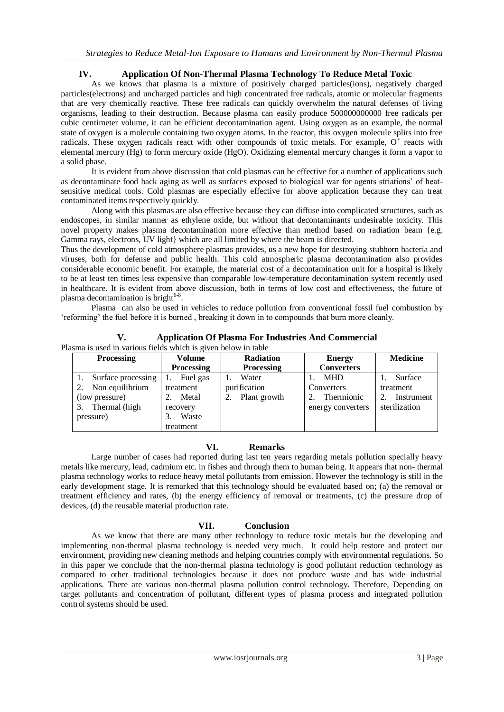## **IV. Application Of Non-Thermal Plasma Technology To Reduce Metal Toxic**

As we knows that plasma is a mixture of positively charged particles(ions), negatively charged particles(electrons) and uncharged particles and high concentrated free radicals, atomic or molecular fragments that are very chemically reactive. These free radicals can quickly overwhelm the natural defenses of living organisms, leading to their destruction. Because plasma can easily produce 500000000000 free radicals per cubic centimeter volume, it can be efficient decontamination agent. Using oxygen as an example, the normal state of oxygen is a molecule containing two oxygen atoms. In the reactor, this oxygen molecule splits into free radicals. These oxygen radicals react with other compounds of toxic metals. For example,  $O^+$  reacts with elemental mercury (Hg) to form mercury oxide (HgO). Oxidizing elemental mercury changes it form a vapor to a solid phase.

It is evident from above discussion that cold plasmas can be effective for a number of applications such as decontaminate food back aging as well as surfaces exposed to biological war for agents striations" of heatsensitive medical tools. Cold plasmas are especially effective for above application because they can treat contaminated items respectively quickly.

Along with this plasmas are also effective because they can diffuse into complicated structures, such as endoscopes, in similar manner as ethylene oxide, but without that decontaminants undesirable toxicity. This novel property makes plasma decontamination more effective than method based on radiation beam {e.g. Gamma rays, electrons, UV light} which are all limited by where the beam is directed.

Thus the development of cold atmosphere plasmas provides, us a new hope for destroying stubborn bacteria and viruses, both for defense and public health. This cold atmospheric plasma decontamination also provides considerable economic benefit. For example, the material cost of a decontamination unit for a hospital is likely to be at least ten times less expensive than comparable low-temperature decontamination system recently used in healthcare. It is evident from above discussion, both in terms of low cost and effectiveness, the future of plasma decontamination is bright<sup>6-8</sup>.

Plasma can also be used in vehicles to reduce pollution from conventional fossil fuel combustion by "reforming" the fuel before it is burned , breaking it down in to compounds that burn more cleanly.

**V. Application Of Plasma For Industries And Commercial**

Plasma is used in various fields which is given below in table

| <b>Processing</b>  | Volume            | <b>Radiation</b>  | <b>Energy</b>     | <b>Medicine</b> |
|--------------------|-------------------|-------------------|-------------------|-----------------|
|                    | <b>Processing</b> | <b>Processing</b> | <b>Converters</b> |                 |
| Surface processing | Fuel gas          | Water             | <b>MHD</b>        | Surface         |
| Non equilibrium    | treatment         | purification      | Converters        | treatment       |
| (low pressure)     | Metal             | Plant growth      | Thermionic        | Instrument      |
| Thermal (high      | recovery          |                   | energy converters | sterilization   |
| pressure)          | Waste<br>3.       |                   |                   |                 |
|                    | treatment         |                   |                   |                 |

## **VI. Remarks**

Large number of cases had reported during last ten years regarding metals pollution specially heavy metals like mercury, lead, cadmium etc. in fishes and through them to human being. It appears that non- thermal plasma technology works to reduce heavy metal pollutants from emission. However the technology is still in the early development stage. It is remarked that this technology should be evaluated based on; (a) the removal or treatment efficiency and rates, (b) the energy efficiency of removal or treatments, (c) the pressure drop of devices, (d) the reusable material production rate.

# **VII. Conclusion**

As we know that there are many other technology to reduce toxic metals but the developing and implementing non-thermal plasma technology is needed very much. It could help restore and protect our environment, providing new cleaning methods and helping countries comply with environmental regulations. So in this paper we conclude that the non-thermal plasma technology is good pollutant reduction technology as compared to other traditional technologies because it does not produce waste and has wide industrial applications. There are various non-thermal plasma pollution control technology. Therefore, Depending on target pollutants and concentration of pollutant, different types of plasma process and integrated pollution control systems should be used.